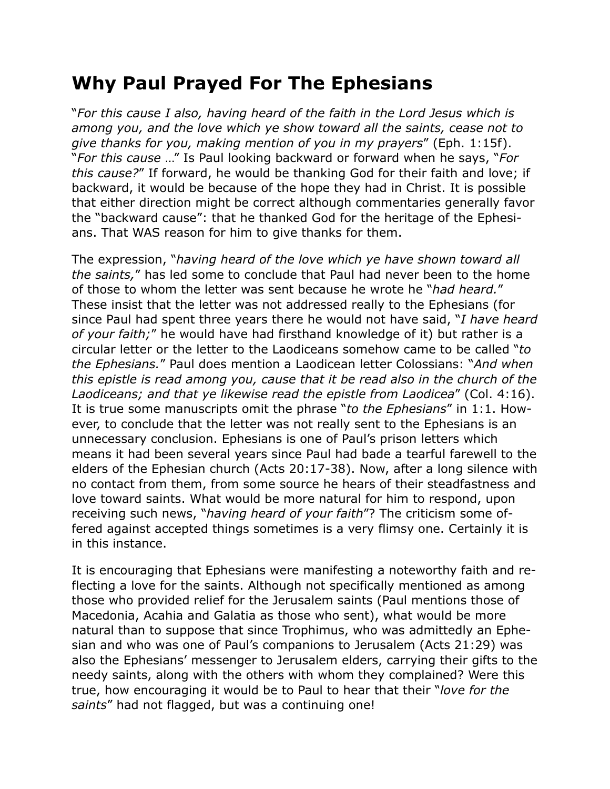## **Why Paul Prayed For The Ephesians**

"*For this cause I also, having heard of the faith in the Lord Jesus which is among you, and the love which ye show toward all the saints, cease not to give thanks for you, making mention of you in my prayers*" (Eph. 1:15f). "*For this cause* …" Is Paul looking backward or forward when he says, "*For this cause?*" If forward, he would be thanking God for their faith and love; if backward, it would be because of the hope they had in Christ. It is possible that either direction might be correct although commentaries generally favor the "backward cause": that he thanked God for the heritage of the Ephesians. That WAS reason for him to give thanks for them.

The expression, "*having heard of the love which ye have shown toward all the saints,*" has led some to conclude that Paul had never been to the home of those to whom the letter was sent because he wrote he "*had heard.*" These insist that the letter was not addressed really to the Ephesians (for since Paul had spent three years there he would not have said, "*I have heard of your faith;*" he would have had firsthand knowledge of it) but rather is a circular letter or the letter to the Laodiceans somehow came to be called "*to the Ephesians.*" Paul does mention a Laodicean letter Colossians: "*And when this epistle is read among you, cause that it be read also in the church of the Laodiceans; and that ye likewise read the epistle from Laodicea*" (Col. 4:16). It is true some manuscripts omit the phrase "*to the Ephesians*" in 1:1. However, to conclude that the letter was not really sent to the Ephesians is an unnecessary conclusion. Ephesians is one of Paul's prison letters which means it had been several years since Paul had bade a tearful farewell to the elders of the Ephesian church (Acts 20:17-38). Now, after a long silence with no contact from them, from some source he hears of their steadfastness and love toward saints. What would be more natural for him to respond, upon receiving such news, "*having heard of your faith*"? The criticism some offered against accepted things sometimes is a very flimsy one. Certainly it is in this instance.

It is encouraging that Ephesians were manifesting a noteworthy faith and reflecting a love for the saints. Although not specifically mentioned as among those who provided relief for the Jerusalem saints (Paul mentions those of Macedonia, Acahia and Galatia as those who sent), what would be more natural than to suppose that since Trophimus, who was admittedly an Ephesian and who was one of Paul's companions to Jerusalem (Acts 21:29) was also the Ephesians' messenger to Jerusalem elders, carrying their gifts to the needy saints, along with the others with whom they complained? Were this true, how encouraging it would be to Paul to hear that their "*love for the saints*" had not flagged, but was a continuing one!